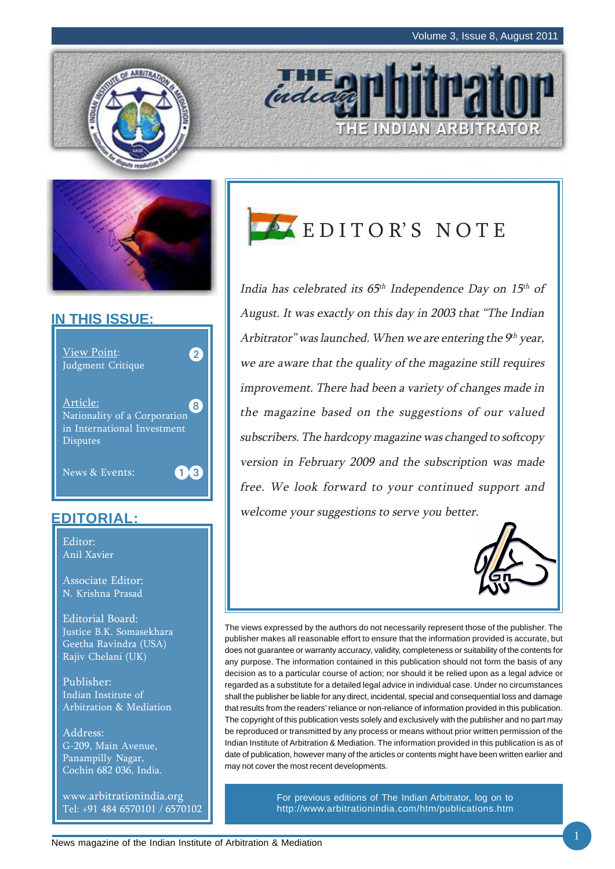THE INDIAN ARBITRATOR





## **IN THIS ISSUE:**



## **EDITORIAL:**

Editor: Anil Xavier

Associate Editor: N. Krishna Prasad

Editorial Board: Justice B.K. Somasekhara Geetha Ravindra (USA) Rajiv Chelani (UK)

Publisher: Indian Institute of Arbitration & Mediation

Address: G-209, Main Avenue, Panampilly Nagar, Cochin 682 036, India.

www.arbitrationindia.org Tel: +91 484 6570101 / 6570102



**THE O** 

India has celebrated its  $65<sup>th</sup>$  Independence Day on  $15<sup>th</sup>$  of August. It was exactly on this day in 2003 that "The Indian Arbitrator" was launched. When we are entering the  $9<sup>th</sup>$  year, we are aware that the quality of the magazine still requires improvement. There had been a variety of changes made in the magazine based on the suggestions of our valued subscribers. The hardcopy magazine was changed to softcopy version in February 2009 and the subscription was made free. We look forward to your continued support and welcome your suggestions to serve you better.



The views expressed by the authors do not necessarily represent those of the publisher. The publisher makes all reasonable effort to ensure that the information provided is accurate, but does not guarantee or warranty accuracy, validity, completeness or suitability of the contents for any purpose. The information contained in this publication should not form the basis of any decision as to a particular course of action; nor should it be relied upon as a legal advice or regarded as a substitute for a detailed legal advice in individual case. Under no circumstances shall the publisher be liable for any direct, incidental, special and consequential loss and damage that results from the readers' reliance or non-reliance of information provided in this publication. The copyright of this publication vests solely and exclusively with the publisher and no part may be reproduced or transmitted by any process or means without prior written permission of the Indian Institute of Arbitration & Mediation. The information provided in this publication is as of date of publication, however many of the articles or contents might have been written earlier and may not cover the most recent developments.

> For previous editions of The Indian Arbitrator, log on to http://www.arbitrationindia.com/htm/publications.htm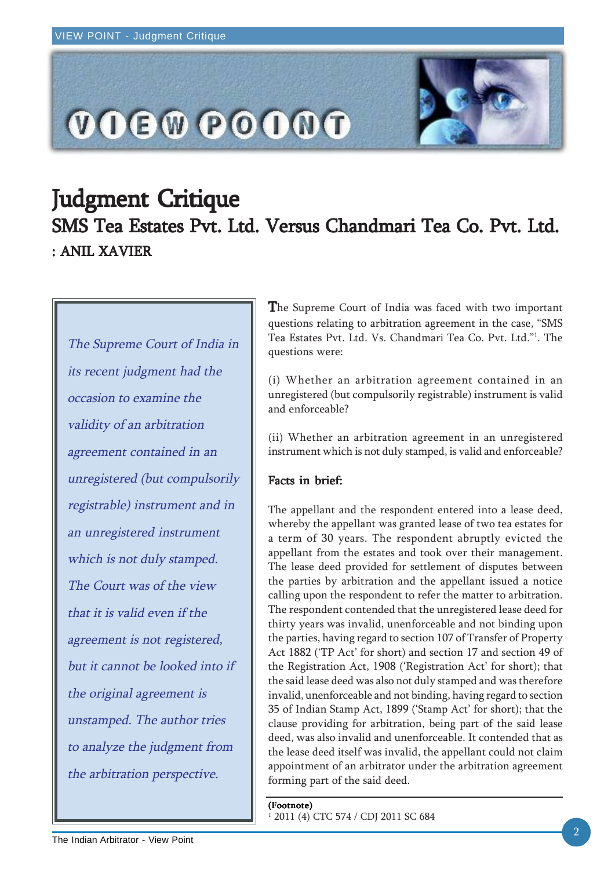

# Judgment Critique SMS Tea Estates Pvt. Ltd. Versus Chandmari Tea Co. Pvt. Ltd. : ANIL XAVIER

The Supreme Court of India in its recent judgment had the occasion to examine the validity of an arbitration agreement contained in an unregistered (but compulsorily registrable) instrument and in an unregistered instrument which is not duly stamped. The Court was of the view that it is valid even if the agreement is not registered, but it cannot be looked into if the original agreement is unstamped. The author tries to analyze the judgment from the arbitration perspective.

The Supreme Court of India was faced with two important questions relating to arbitration agreement in the case, "SMS Tea Estates Pvt. Ltd. Vs. Chandmari Tea Co. Pvt. Ltd."1 . The questions were:

(i) Whether an arbitration agreement contained in an unregistered (but compulsorily registrable) instrument is valid and enforceable?

(ii) Whether an arbitration agreement in an unregistered instrument which is not duly stamped, is valid and enforceable?

## Facts in brief:

The appellant and the respondent entered into a lease deed, whereby the appellant was granted lease of two tea estates for a term of 30 years. The respondent abruptly evicted the appellant from the estates and took over their management. The lease deed provided for settlement of disputes between the parties by arbitration and the appellant issued a notice calling upon the respondent to refer the matter to arbitration. The respondent contended that the unregistered lease deed for thirty years was invalid, unenforceable and not binding upon the parties, having regard to section 107 of Transfer of Property Act 1882 ('TP Act' for short) and section 17 and section 49 of the Registration Act, 1908 ('Registration Act' for short); that the said lease deed was also not duly stamped and was therefore invalid, unenforceable and not binding, having regard to section 35 of Indian Stamp Act, 1899 ('Stamp Act' for short); that the clause providing for arbitration, being part of the said lease deed, was also invalid and unenforceable. It contended that as the lease deed itself was invalid, the appellant could not claim appointment of an arbitrator under the arbitration agreement forming part of the said deed.

#### (Footnote)

1 2011 (4) CTC 574 / CDJ 2011 SC 684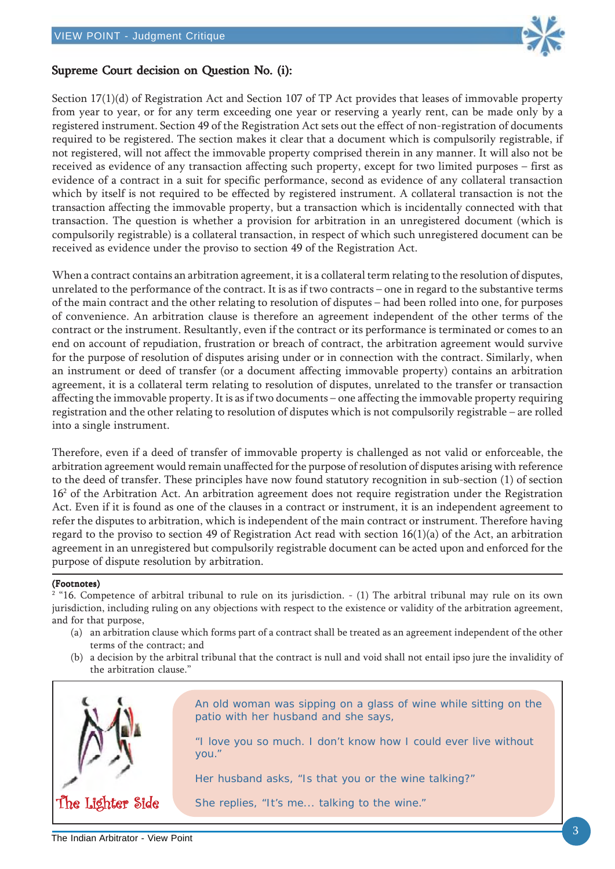

### Supreme Court decision on Question No. (i):

Section 17(1)(d) of Registration Act and Section 107 of TP Act provides that leases of immovable property from year to year, or for any term exceeding one year or reserving a yearly rent, can be made only by a registered instrument. Section 49 of the Registration Act sets out the effect of non-registration of documents required to be registered. The section makes it clear that a document which is compulsorily registrable, if not registered, will not affect the immovable property comprised therein in any manner. It will also not be received as evidence of any transaction affecting such property, except for two limited purposes – first as evidence of a contract in a suit for specific performance, second as evidence of any collateral transaction which by itself is not required to be effected by registered instrument. A collateral transaction is not the transaction affecting the immovable property, but a transaction which is incidentally connected with that transaction. The question is whether a provision for arbitration in an unregistered document (which is compulsorily registrable) is a collateral transaction, in respect of which such unregistered document can be received as evidence under the proviso to section 49 of the Registration Act.

When a contract contains an arbitration agreement, it is a collateral term relating to the resolution of disputes, unrelated to the performance of the contract. It is as if two contracts – one in regard to the substantive terms of the main contract and the other relating to resolution of disputes – had been rolled into one, for purposes of convenience. An arbitration clause is therefore an agreement independent of the other terms of the contract or the instrument. Resultantly, even if the contract or its performance is terminated or comes to an end on account of repudiation, frustration or breach of contract, the arbitration agreement would survive for the purpose of resolution of disputes arising under or in connection with the contract. Similarly, when an instrument or deed of transfer (or a document affecting immovable property) contains an arbitration agreement, it is a collateral term relating to resolution of disputes, unrelated to the transfer or transaction affecting the immovable property. It is as if two documents – one affecting the immovable property requiring registration and the other relating to resolution of disputes which is not compulsorily registrable – are rolled into a single instrument.

Therefore, even if a deed of transfer of immovable property is challenged as not valid or enforceable, the arbitration agreement would remain unaffected for the purpose of resolution of disputes arising with reference to the deed of transfer. These principles have now found statutory recognition in sub-section (1) of section 16<sup>2</sup> of the Arbitration Act. An arbitration agreement does not require registration under the Registration Act. Even if it is found as one of the clauses in a contract or instrument, it is an independent agreement to refer the disputes to arbitration, which is independent of the main contract or instrument. Therefore having regard to the proviso to section 49 of Registration Act read with section 16(1)(a) of the Act, an arbitration agreement in an unregistered but compulsorily registrable document can be acted upon and enforced for the purpose of dispute resolution by arbitration.

#### (Footnotes)

2 "16. Competence of arbitral tribunal to rule on its jurisdiction. - (1) The arbitral tribunal may rule on its own jurisdiction, including ruling on any objections with respect to the existence or validity of the arbitration agreement, and for that purpose,

- (a) an arbitration clause which forms part of a contract shall be treated as an agreement independent of the other terms of the contract; and
- (b) a decision by the arbitral tribunal that the contract is null and void shall not entail ipso jure the invalidity of the arbitration clause."

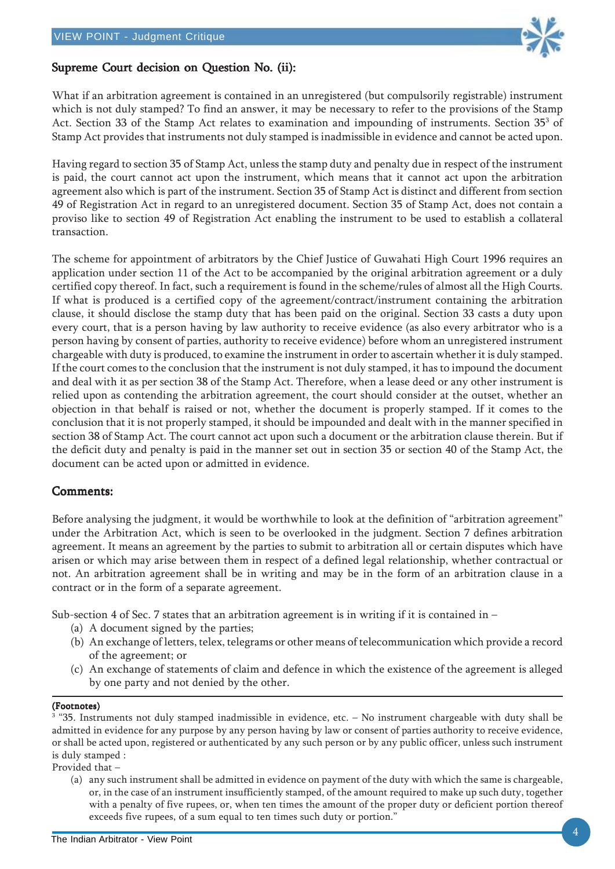

### Supreme Court decision on Question No. (ii):

What if an arbitration agreement is contained in an unregistered (but compulsorily registrable) instrument which is not duly stamped? To find an answer, it may be necessary to refer to the provisions of the Stamp Act. Section 33 of the Stamp Act relates to examination and impounding of instruments. Section 35 $^{\rm 3}$  of Stamp Act provides that instruments not duly stamped is inadmissible in evidence and cannot be acted upon.

Having regard to section 35 of Stamp Act, unless the stamp duty and penalty due in respect of the instrument is paid, the court cannot act upon the instrument, which means that it cannot act upon the arbitration agreement also which is part of the instrument. Section 35 of Stamp Act is distinct and different from section 49 of Registration Act in regard to an unregistered document. Section 35 of Stamp Act, does not contain a proviso like to section 49 of Registration Act enabling the instrument to be used to establish a collateral transaction.

The scheme for appointment of arbitrators by the Chief Justice of Guwahati High Court 1996 requires an application under section 11 of the Act to be accompanied by the original arbitration agreement or a duly certified copy thereof. In fact, such a requirement is found in the scheme/rules of almost all the High Courts. If what is produced is a certified copy of the agreement/contract/instrument containing the arbitration clause, it should disclose the stamp duty that has been paid on the original. Section 33 casts a duty upon every court, that is a person having by law authority to receive evidence (as also every arbitrator who is a person having by consent of parties, authority to receive evidence) before whom an unregistered instrument chargeable with duty is produced, to examine the instrument in order to ascertain whether it is duly stamped. If the court comes to the conclusion that the instrument is not duly stamped, it has to impound the document and deal with it as per section 38 of the Stamp Act. Therefore, when a lease deed or any other instrument is relied upon as contending the arbitration agreement, the court should consider at the outset, whether an objection in that behalf is raised or not, whether the document is properly stamped. If it comes to the conclusion that it is not properly stamped, it should be impounded and dealt with in the manner specified in section 38 of Stamp Act. The court cannot act upon such a document or the arbitration clause therein. But if the deficit duty and penalty is paid in the manner set out in section 35 or section 40 of the Stamp Act, the document can be acted upon or admitted in evidence.

### Comments: Comments:

Before analysing the judgment, it would be worthwhile to look at the definition of "arbitration agreement" under the Arbitration Act, which is seen to be overlooked in the judgment. Section 7 defines arbitration agreement. It means an agreement by the parties to submit to arbitration all or certain disputes which have arisen or which may arise between them in respect of a defined legal relationship, whether contractual or not. An arbitration agreement shall be in writing and may be in the form of an arbitration clause in a contract or in the form of a separate agreement.

Sub-section 4 of Sec. 7 states that an arbitration agreement is in writing if it is contained in –

- (a) A document signed by the parties;
- (b) An exchange of letters, telex, telegrams or other means of telecommunication which provide a record of the agreement; or
- (c) An exchange of statements of claim and defence in which the existence of the agreement is alleged by one party and not denied by the other.

#### (Footnotes)

3 "35. Instruments not duly stamped inadmissible in evidence, etc. – No instrument chargeable with duty shall be admitted in evidence for any purpose by any person having by law or consent of parties authority to receive evidence, or shall be acted upon, registered or authenticated by any such person or by any public officer, unless such instrument is duly stamped :

Provided that –

(a) any such instrument shall be admitted in evidence on payment of the duty with which the same is chargeable, or, in the case of an instrument insufficiently stamped, of the amount required to make up such duty, together with a penalty of five rupees, or, when ten times the amount of the proper duty or deficient portion thereof exceeds five rupees, of a sum equal to ten times such duty or portion."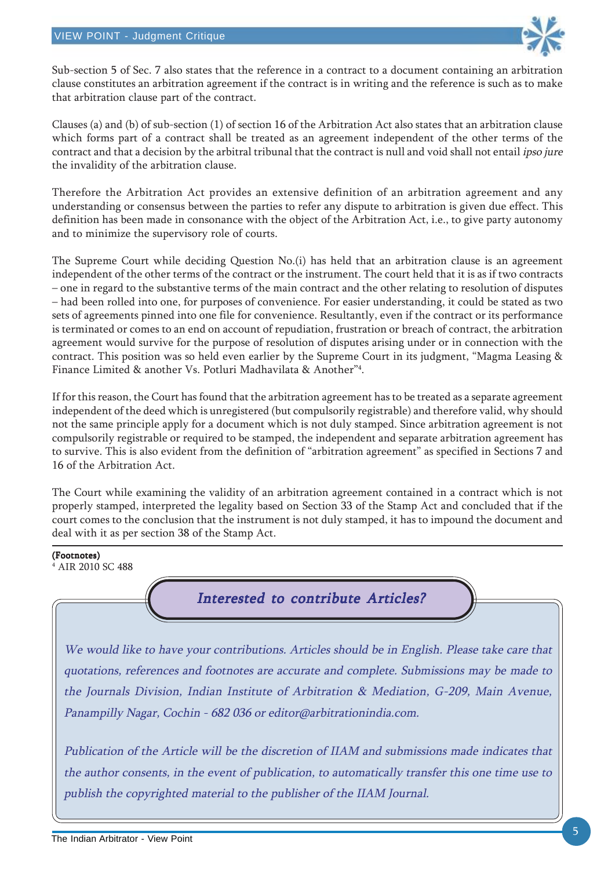

Sub-section 5 of Sec. 7 also states that the reference in a contract to a document containing an arbitration clause constitutes an arbitration agreement if the contract is in writing and the reference is such as to make that arbitration clause part of the contract.

Clauses (a) and (b) of sub-section (1) of section 16 of the Arbitration Act also states that an arbitration clause which forms part of a contract shall be treated as an agreement independent of the other terms of the contract and that a decision by the arbitral tribunal that the contract is null and void shall not entail ipso jure the invalidity of the arbitration clause.

Therefore the Arbitration Act provides an extensive definition of an arbitration agreement and any understanding or consensus between the parties to refer any dispute to arbitration is given due effect. This definition has been made in consonance with the object of the Arbitration Act, i.e., to give party autonomy and to minimize the supervisory role of courts.

The Supreme Court while deciding Question No.(i) has held that an arbitration clause is an agreement independent of the other terms of the contract or the instrument. The court held that it is as if two contracts – one in regard to the substantive terms of the main contract and the other relating to resolution of disputes – had been rolled into one, for purposes of convenience. For easier understanding, it could be stated as two sets of agreements pinned into one file for convenience. Resultantly, even if the contract or its performance is terminated or comes to an end on account of repudiation, frustration or breach of contract, the arbitration agreement would survive for the purpose of resolution of disputes arising under or in connection with the contract. This position was so held even earlier by the Supreme Court in its judgment, "Magma Leasing & Finance Limited & another Vs. Potluri Madhavilata & Another"4 .

If for this reason, the Court has found that the arbitration agreement has to be treated as a separate agreement independent of the deed which is unregistered (but compulsorily registrable) and therefore valid, why should not the same principle apply for a document which is not duly stamped. Since arbitration agreement is not compulsorily registrable or required to be stamped, the independent and separate arbitration agreement has to survive. This is also evident from the definition of "arbitration agreement" as specified in Sections 7 and 16 of the Arbitration Act.

The Court while examining the validity of an arbitration agreement contained in a contract which is not properly stamped, interpreted the legality based on Section 33 of the Stamp Act and concluded that if the court comes to the conclusion that the instrument is not duly stamped, it has to impound the document and deal with it as per section 38 of the Stamp Act.

#### (Footnotes)

4 AIR 2010 SC 488

## Interested to contribute Articles?

We would like to have your contributions. Articles should be in English. Please take care that quotations, references and footnotes are accurate and complete. Submissions may be made to the Journals Division, Indian Institute of Arbitration & Mediation, G-209, Main Avenue, Panampilly Nagar, Cochin - 682 036 or editor@arbitrationindia.com.

Publication of the Article will be the discretion of IIAM and submissions made indicates that the author consents, in the event of publication, to automatically transfer this one time use to publish the copyrighted material to the publisher of the IIAM Journal.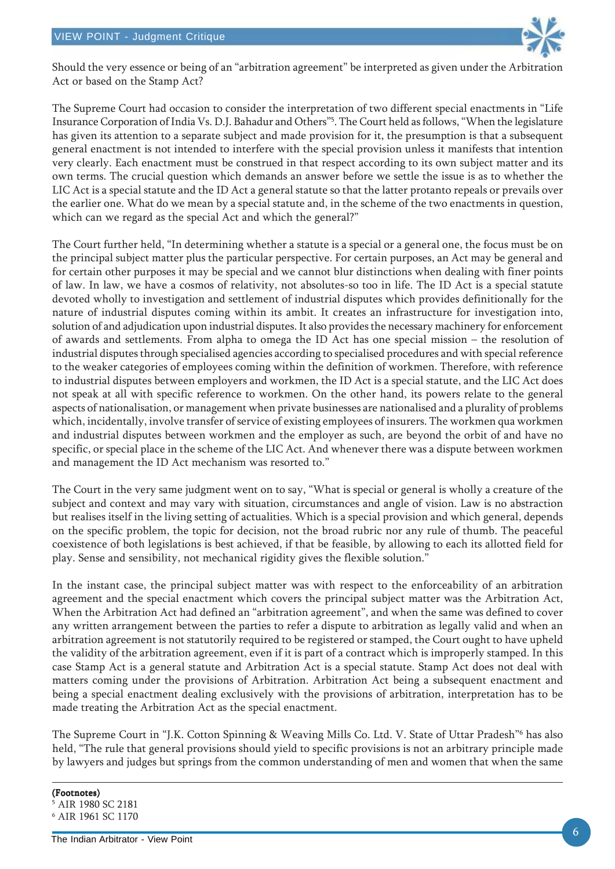

Should the very essence or being of an "arbitration agreement" be interpreted as given under the Arbitration Act or based on the Stamp Act?

The Supreme Court had occasion to consider the interpretation of two different special enactments in "Life Insurance Corporation of India Vs. D.J. Bahadur and Others"5 . The Court held as follows, "When the legislature has given its attention to a separate subject and made provision for it, the presumption is that a subsequent general enactment is not intended to interfere with the special provision unless it manifests that intention very clearly. Each enactment must be construed in that respect according to its own subject matter and its own terms. The crucial question which demands an answer before we settle the issue is as to whether the LIC Act is a special statute and the ID Act a general statute so that the latter protanto repeals or prevails over the earlier one. What do we mean by a special statute and, in the scheme of the two enactments in question, which can we regard as the special Act and which the general?"

The Court further held, "In determining whether a statute is a special or a general one, the focus must be on the principal subject matter plus the particular perspective. For certain purposes, an Act may be general and for certain other purposes it may be special and we cannot blur distinctions when dealing with finer points of law. In law, we have a cosmos of relativity, not absolutes-so too in life. The ID Act is a special statute devoted wholly to investigation and settlement of industrial disputes which provides definitionally for the nature of industrial disputes coming within its ambit. It creates an infrastructure for investigation into, solution of and adjudication upon industrial disputes. It also provides the necessary machinery for enforcement of awards and settlements. From alpha to omega the ID Act has one special mission – the resolution of industrial disputes through specialised agencies according to specialised procedures and with special reference to the weaker categories of employees coming within the definition of workmen. Therefore, with reference to industrial disputes between employers and workmen, the ID Act is a special statute, and the LIC Act does not speak at all with specific reference to workmen. On the other hand, its powers relate to the general aspects of nationalisation, or management when private businesses are nationalised and a plurality of problems which, incidentally, involve transfer of service of existing employees of insurers. The workmen qua workmen and industrial disputes between workmen and the employer as such, are beyond the orbit of and have no specific, or special place in the scheme of the LIC Act. And whenever there was a dispute between workmen and management the ID Act mechanism was resorted to."

The Court in the very same judgment went on to say, "What is special or general is wholly a creature of the subject and context and may vary with situation, circumstances and angle of vision. Law is no abstraction but realises itself in the living setting of actualities. Which is a special provision and which general, depends on the specific problem, the topic for decision, not the broad rubric nor any rule of thumb. The peaceful coexistence of both legislations is best achieved, if that be feasible, by allowing to each its allotted field for play. Sense and sensibility, not mechanical rigidity gives the flexible solution."

In the instant case, the principal subject matter was with respect to the enforceability of an arbitration agreement and the special enactment which covers the principal subject matter was the Arbitration Act, When the Arbitration Act had defined an "arbitration agreement", and when the same was defined to cover any written arrangement between the parties to refer a dispute to arbitration as legally valid and when an arbitration agreement is not statutorily required to be registered or stamped, the Court ought to have upheld the validity of the arbitration agreement, even if it is part of a contract which is improperly stamped. In this case Stamp Act is a general statute and Arbitration Act is a special statute. Stamp Act does not deal with matters coming under the provisions of Arbitration. Arbitration Act being a subsequent enactment and being a special enactment dealing exclusively with the provisions of arbitration, interpretation has to be made treating the Arbitration Act as the special enactment.

The Supreme Court in "J.K. Cotton Spinning & Weaving Mills Co. Ltd. V. State of Uttar Pradesh"6 has also held, "The rule that general provisions should yield to specific provisions is not an arbitrary principle made by lawyers and judges but springs from the common understanding of men and women that when the same

(Footnotes) 5 AIR 1980 SC 2181 6 AIR 1961 SC 1170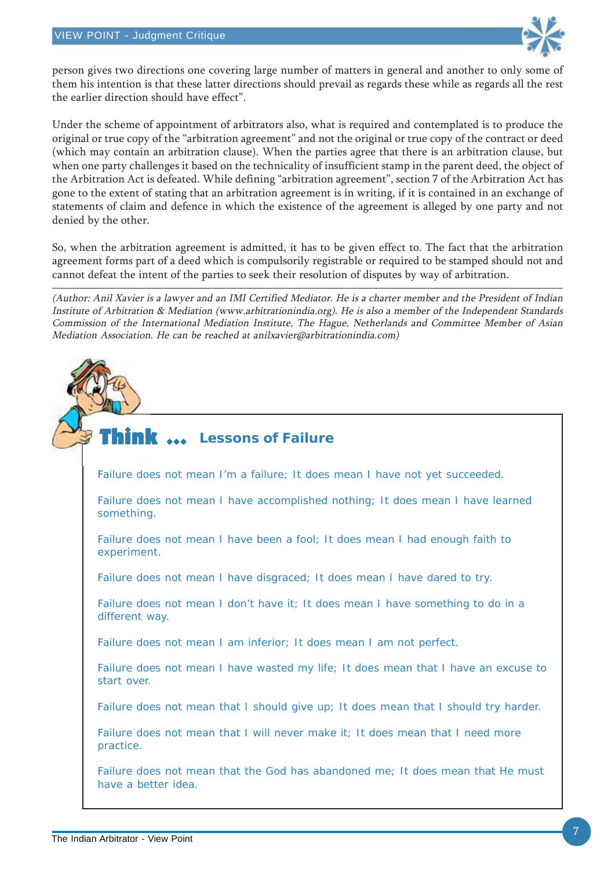

person gives two directions one covering large number of matters in general and another to only some of them his intention is that these latter directions should prevail as regards these while as regards all the rest the earlier direction should have effect".

Under the scheme of appointment of arbitrators also, what is required and contemplated is to produce the original or true copy of the "arbitration agreement" and not the original or true copy of the contract or deed (which may contain an arbitration clause). When the parties agree that there is an arbitration clause, but when one party challenges it based on the technicality of insufficient stamp in the parent deed, the object of the Arbitration Act is defeated. While defining "arbitration agreement", section 7 of the Arbitration Act has gone to the extent of stating that an arbitration agreement is in writing, if it is contained in an exchange of statements of claim and defence in which the existence of the agreement is alleged by one party and not denied by the other.

So, when the arbitration agreement is admitted, it has to be given effect to. The fact that the arbitration agreement forms part of a deed which is compulsorily registrable or required to be stamped should not and cannot defeat the intent of the parties to seek their resolution of disputes by way of arbitration.

(Author: Anil Xavier is a lawyer and an IMI Certified Mediator. He is a charter member and the President of Indian Institute of Arbitration & Mediation (www.arbitrationindia.org). He is also a member of the Independent Standards Commission of the International Mediation Institute, The Hague, Netherlands and Committee Member of Asian Mediation Association. He can be reached at anilxavier@arbitrationindia.com)



Failure does not mean I'm a failure; It does mean I have not yet succeeded.

Failure does not mean I have accomplished nothing; It does mean I have learned something.

Failure does not mean I have been a fool; It does mean I had enough faith to experiment.

Failure does not mean I have disgraced; It does mean I have dared to try.

Failure does not mean I don't have it; It does mean I have something to do in a different way.

Failure does not mean I am inferior; It does mean I am not perfect.

Failure does not mean I have wasted my life; It does mean that I have an excuse to start over.

Failure does not mean that I should give up; It does mean that I should try harder.

Failure does not mean that I will never make it; It does mean that I need more practice.

Failure does not mean that the God has abandoned me; It does mean that He must have a better idea.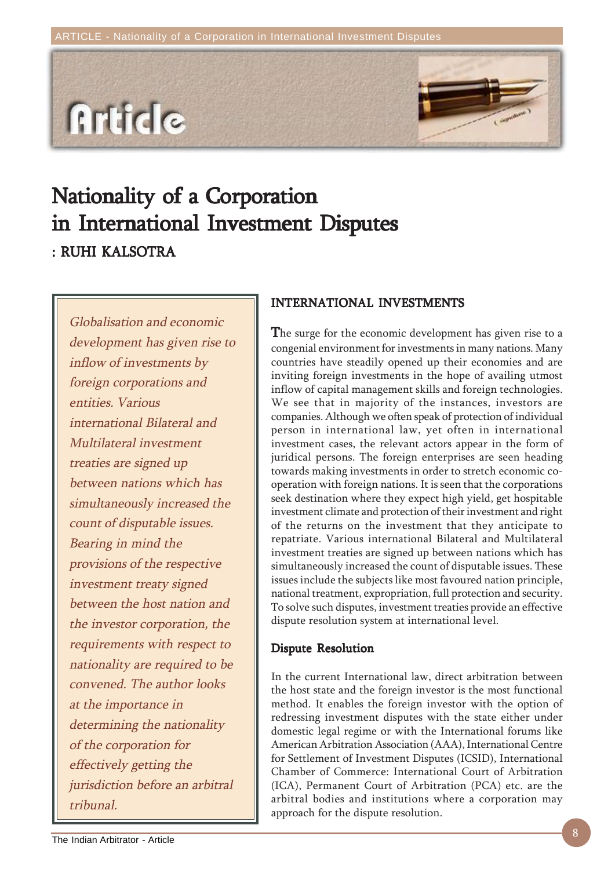



Globalisation and economic development has given rise to inflow of investments by foreign corporations and entities. Various international Bilateral and Multilateral investment treaties are signed up between nations which has simultaneously increased the count of disputable issues. Bearing in mind the provisions of the respective investment treaty signed between the host nation and the investor corporation, the requirements with respect to nationality are required to be convened. The author looks at the importance in determining the nationality of the corporation for effectively getting the jurisdiction before an arbitral tribunal.

### INTERNATIONAL INVESTMENTS

The surge for the economic development has given rise to a congenial environment for investments in many nations. Many countries have steadily opened up their economies and are inviting foreign investments in the hope of availing utmost inflow of capital management skills and foreign technologies. We see that in majority of the instances, investors are companies. Although we often speak of protection of individual person in international law, yet often in international investment cases, the relevant actors appear in the form of juridical persons. The foreign enterprises are seen heading towards making investments in order to stretch economic cooperation with foreign nations. It is seen that the corporations seek destination where they expect high yield, get hospitable investment climate and protection of their investment and right of the returns on the investment that they anticipate to repatriate. Various international Bilateral and Multilateral investment treaties are signed up between nations which has simultaneously increased the count of disputable issues. These issues include the subjects like most favoured nation principle, national treatment, expropriation, full protection and security. To solve such disputes, investment treaties provide an effective dispute resolution system at international level.

### Dispute Resolution

In the current International law, direct arbitration between the host state and the foreign investor is the most functional method. It enables the foreign investor with the option of redressing investment disputes with the state either under domestic legal regime or with the International forums like American Arbitration Association (AAA), International Centre for Settlement of Investment Disputes (ICSID), International Chamber of Commerce: International Court of Arbitration (ICA), Permanent Court of Arbitration (PCA) etc. are the arbitral bodies and institutions where a corporation may approach for the dispute resolution.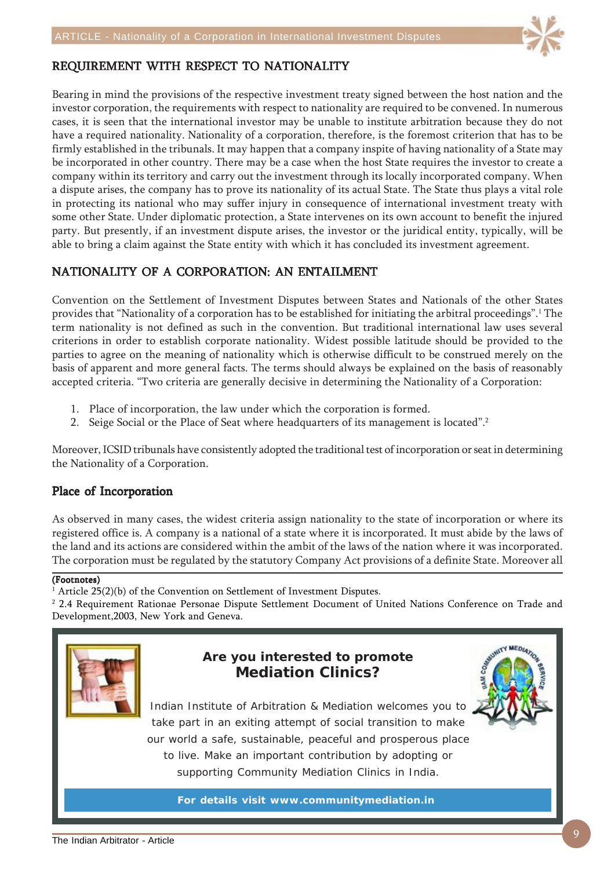

### REQUIREMENT WITH RESPECT TO NATIONALITY

Bearing in mind the provisions of the respective investment treaty signed between the host nation and the investor corporation, the requirements with respect to nationality are required to be convened. In numerous cases, it is seen that the international investor may be unable to institute arbitration because they do not have a required nationality. Nationality of a corporation, therefore, is the foremost criterion that has to be firmly established in the tribunals. It may happen that a company inspite of having nationality of a State may be incorporated in other country. There may be a case when the host State requires the investor to create a company within its territory and carry out the investment through its locally incorporated company. When a dispute arises, the company has to prove its nationality of its actual State. The State thus plays a vital role in protecting its national who may suffer injury in consequence of international investment treaty with some other State. Under diplomatic protection, a State intervenes on its own account to benefit the injured party. But presently, if an investment dispute arises, the investor or the juridical entity, typically, will be able to bring a claim against the State entity with which it has concluded its investment agreement.

## NATIONALITY OF A CORPORATION: AN ENTAILMENT

Convention on the Settlement of Investment Disputes between States and Nationals of the other States provides that "Nationality of a corporation has to be established for initiating the arbitral proceedings".<sup>1</sup> The term nationality is not defined as such in the convention. But traditional international law uses several criterions in order to establish corporate nationality. Widest possible latitude should be provided to the parties to agree on the meaning of nationality which is otherwise difficult to be construed merely on the basis of apparent and more general facts. The terms should always be explained on the basis of reasonably accepted criteria. "Two criteria are generally decisive in determining the Nationality of a Corporation:

- 1. Place of incorporation, the law under which the corporation is formed.
- 2. Seige Social or the Place of Seat where headquarters of its management is located".<sup>2</sup>

Moreover, ICSID tribunals have consistently adopted the traditional test of incorporation or seat in determining the Nationality of a Corporation.

### Place of Incorporation

As observed in many cases, the widest criteria assign nationality to the state of incorporation or where its registered office is. A company is a national of a state where it is incorporated. It must abide by the laws of the land and its actions are considered within the ambit of the laws of the nation where it was incorporated. The corporation must be regulated by the statutory Company Act provisions of a definite State. Moreover all

#### (Footnotes)

1 Article 25(2)(b) of the Convention on Settlement of Investment Disputes.

2 2.4 Requirement Rationae Personae Dispute Settlement Document of United Nations Conference on Trade and Development,2003, New York and Geneva.



## **Are you interested to promote Mediation Clinics?**



Indian Institute of Arbitration & Mediation welcomes you to take part in an exiting attempt of social transition to make our world a safe, sustainable, peaceful and prosperous place to live. Make an important contribution by adopting or supporting Community Mediation Clinics in India.

**For details visit www.communitymediation.in**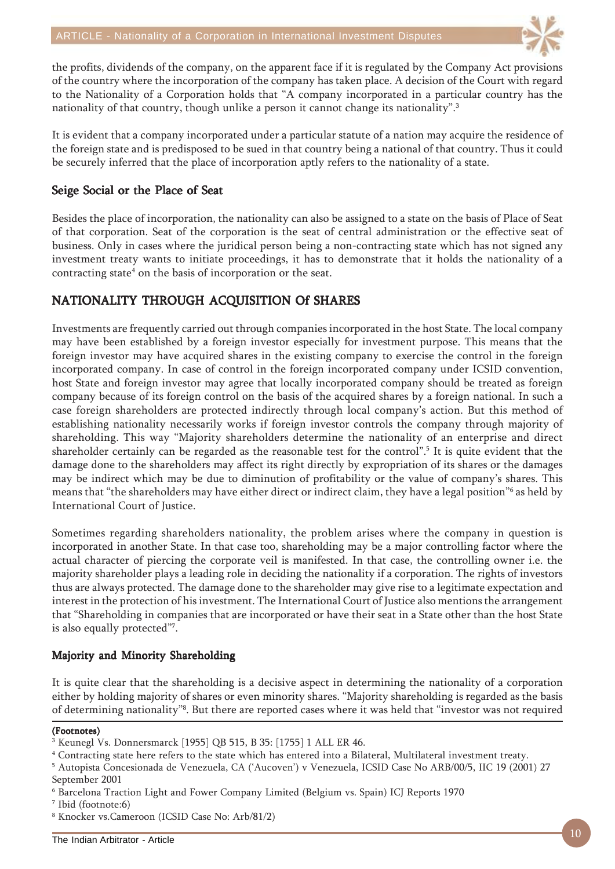

the profits, dividends of the company, on the apparent face if it is regulated by the Company Act provisions of the country where the incorporation of the company has taken place. A decision of the Court with regard to the Nationality of a Corporation holds that "A company incorporated in a particular country has the nationality of that country, though unlike a person it cannot change its nationality".<sup>3</sup>

It is evident that a company incorporated under a particular statute of a nation may acquire the residence of the foreign state and is predisposed to be sued in that country being a national of that country. Thus it could be securely inferred that the place of incorporation aptly refers to the nationality of a state.

### Seige Social or the Place of Seat

Besides the place of incorporation, the nationality can also be assigned to a state on the basis of Place of Seat of that corporation. Seat of the corporation is the seat of central administration or the effective seat of business. Only in cases where the juridical person being a non-contracting state which has not signed any investment treaty wants to initiate proceedings, it has to demonstrate that it holds the nationality of a contracting state<sup>4</sup> on the basis of incorporation or the seat.

## NATIONALITY THROUGH ACQUISITION Of SHARES

Investments are frequently carried out through companies incorporated in the host State. The local company may have been established by a foreign investor especially for investment purpose. This means that the foreign investor may have acquired shares in the existing company to exercise the control in the foreign incorporated company. In case of control in the foreign incorporated company under ICSID convention, host State and foreign investor may agree that locally incorporated company should be treated as foreign company because of its foreign control on the basis of the acquired shares by a foreign national. In such a case foreign shareholders are protected indirectly through local company's action. But this method of establishing nationality necessarily works if foreign investor controls the company through majority of shareholding. This way "Majority shareholders determine the nationality of an enterprise and direct shareholder certainly can be regarded as the reasonable test for the control".<sup>5</sup> It is quite evident that the damage done to the shareholders may affect its right directly by expropriation of its shares or the damages may be indirect which may be due to diminution of profitability or the value of company's shares. This means that "the shareholders may have either direct or indirect claim, they have a legal position"<sup>6</sup> as held by International Court of Justice.

Sometimes regarding shareholders nationality, the problem arises where the company in question is incorporated in another State. In that case too, shareholding may be a major controlling factor where the actual character of piercing the corporate veil is manifested. In that case, the controlling owner i.e. the majority shareholder plays a leading role in deciding the nationality if a corporation. The rights of investors thus are always protected. The damage done to the shareholder may give rise to a legitimate expectation and interest in the protection of his investment. The International Court of Justice also mentions the arrangement that "Shareholding in companies that are incorporated or have their seat in a State other than the host State is also equally protected"7 .

### Majority and Minority Shareholding

It is quite clear that the shareholding is a decisive aspect in determining the nationality of a corporation either by holding majority of shares or even minority shares. "Majority shareholding is regarded as the basis of determining nationality"8 . But there are reported cases where it was held that "investor was not required

#### (Footnotes)

<sup>3</sup> Keunegl Vs. Donnersmarck [1955] QB 515, B 35: [1755] 1 ALL ER 46.

<sup>4</sup> Contracting state here refers to the state which has entered into a Bilateral, Multilateral investment treaty.

<sup>5</sup> Autopista Concesionada de Venezuela, CA ('Aucoven') v Venezuela, ICSID Case No ARB/00/5, IIC 19 (2001) 27 September 2001

<sup>6</sup> Barcelona Traction Light and Fower Company Limited (Belgium vs. Spain) ICJ Reports 1970

<sup>7</sup> Ibid (footnote:6)

<sup>8</sup> Knocker vs.Cameroon (ICSID Case No: Arb/81/2)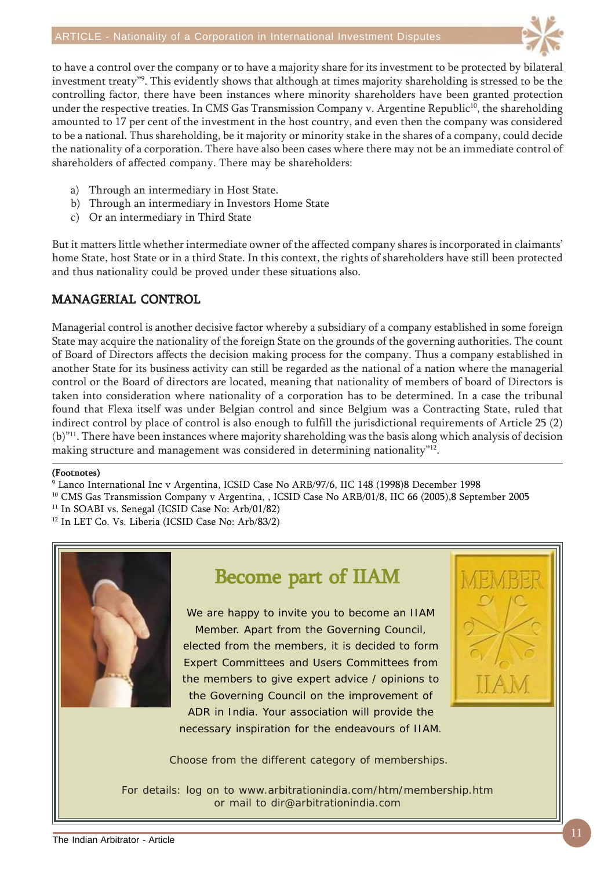

to have a control over the company or to have a majority share for its investment to be protected by bilateral investment treaty"9 . This evidently shows that although at times majority shareholding is stressed to be the controlling factor, there have been instances where minority shareholders have been granted protection under the respective treaties. In CMS Gas Transmission Company v. Argentine Republic<sup>10</sup>, the shareholding amounted to 17 per cent of the investment in the host country, and even then the company was considered to be a national. Thus shareholding, be it majority or minority stake in the shares of a company, could decide the nationality of a corporation. There have also been cases where there may not be an immediate control of shareholders of affected company. There may be shareholders:

- a) Through an intermediary in Host State.
- b) Through an intermediary in Investors Home State
- c) Or an intermediary in Third State

But it matters little whether intermediate owner of the affected company shares is incorporated in claimants' home State, host State or in a third State. In this context, the rights of shareholders have still been protected and thus nationality could be proved under these situations also.

## MANAGERIAL CONTROL

Managerial control is another decisive factor whereby a subsidiary of a company established in some foreign State may acquire the nationality of the foreign State on the grounds of the governing authorities. The count of Board of Directors affects the decision making process for the company. Thus a company established in another State for its business activity can still be regarded as the national of a nation where the managerial control or the Board of directors are located, meaning that nationality of members of board of Directors is taken into consideration where nationality of a corporation has to be determined. In a case the tribunal found that Flexa itself was under Belgian control and since Belgium was a Contracting State, ruled that indirect control by place of control is also enough to fulfill the jurisdictional requirements of Article 25 (2) (b)"11. There have been instances where majority shareholding was the basis along which analysis of decision making structure and management was considered in determining nationality"<sup>12</sup>.

#### (Footnotes)

9 Lanco International Inc v Argentina, ICSID Case No ARB/97/6, IIC 148 (1998)8 December 1998

<sup>10</sup> CMS Gas Transmission Company v Argentina, , ICSID Case No ARB/01/8, IIC 66 (2005),8 September 2005

<sup>11</sup> In SOABI vs. Senegal (ICSID Case No: Arb/01/82)

12 In LET Co. Vs. Liberia (ICSID Case No: Arb/83/2)



# Become part of IIAM

We are happy to invite you to become an IIAM Member. Apart from the Governing Council, elected from the members, it is decided to form Expert Committees and Users Committees from the members to give expert advice / opinions to the Governing Council on the improvement of ADR in India. Your association will provide the necessary inspiration for the endeavours of IIAM.



Choose from the different category of memberships.

For details: log on to www.arbitrationindia.com/htm/membership.htm or mail to dir@arbitrationindia.com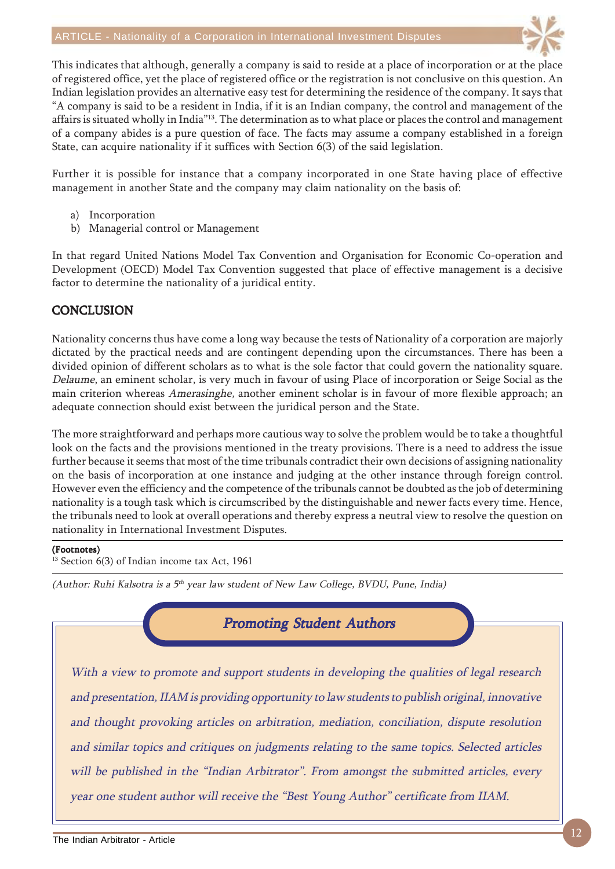

This indicates that although, generally a company is said to reside at a place of incorporation or at the place of registered office, yet the place of registered office or the registration is not conclusive on this question. An Indian legislation provides an alternative easy test for determining the residence of the company. It says that "A company is said to be a resident in India, if it is an Indian company, the control and management of the affairs is situated wholly in India"13. The determination as to what place or places the control and management of a company abides is a pure question of face. The facts may assume a company established in a foreign State, can acquire nationality if it suffices with Section 6(3) of the said legislation.

Further it is possible for instance that a company incorporated in one State having place of effective management in another State and the company may claim nationality on the basis of:

- a) Incorporation
- b) Managerial control or Management

In that regard United Nations Model Tax Convention and Organisation for Economic Co-operation and Development (OECD) Model Tax Convention suggested that place of effective management is a decisive factor to determine the nationality of a juridical entity.

### **CONCLUSION**

Nationality concerns thus have come a long way because the tests of Nationality of a corporation are majorly dictated by the practical needs and are contingent depending upon the circumstances. There has been a divided opinion of different scholars as to what is the sole factor that could govern the nationality square. Delaume, an eminent scholar, is very much in favour of using Place of incorporation or Seige Social as the main criterion whereas Amerasinghe, another eminent scholar is in favour of more flexible approach; an adequate connection should exist between the juridical person and the State.

The more straightforward and perhaps more cautious way to solve the problem would be to take a thoughtful look on the facts and the provisions mentioned in the treaty provisions. There is a need to address the issue further because it seems that most of the time tribunals contradict their own decisions of assigning nationality on the basis of incorporation at one instance and judging at the other instance through foreign control. However even the efficiency and the competence of the tribunals cannot be doubted as the job of determining nationality is a tough task which is circumscribed by the distinguishable and newer facts every time. Hence, the tribunals need to look at overall operations and thereby express a neutral view to resolve the question on nationality in International Investment Disputes.

#### (Footnotes)

<sup>13</sup> Section 6(3) of Indian income tax Act, 1961

(Author: Ruhi Kalsotra is a  $5<sup>th</sup>$  year law student of New Law College, BVDU, Pune, India)



With a view to promote and support students in developing the qualities of legal research and presentation, IIAM is providing opportunity to law students to publish original, innovative and thought provoking articles on arbitration, mediation, conciliation, dispute resolution and similar topics and critiques on judgments relating to the same topics. Selected articles will be published in the "Indian Arbitrator". From amongst the submitted articles, every year one student author will receive the "Best Young Author" certificate from IIAM.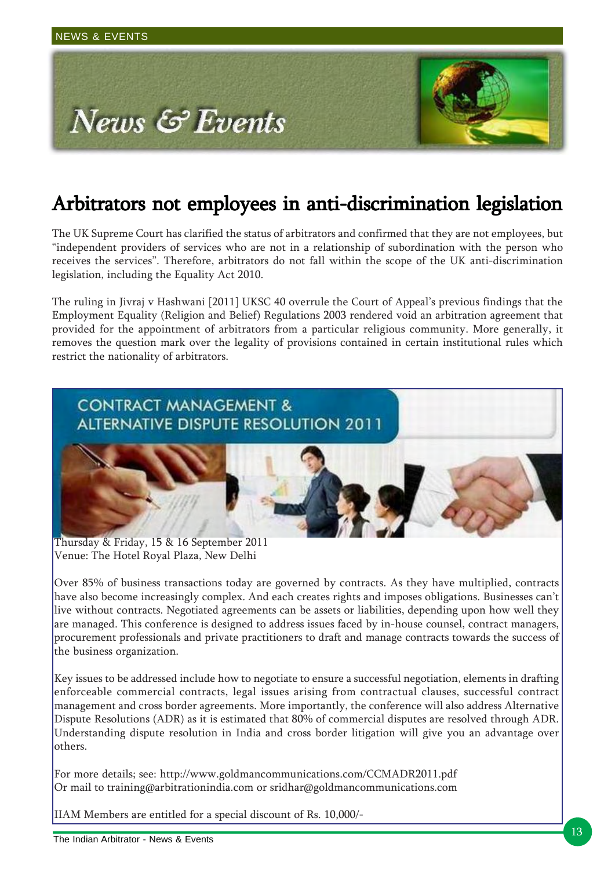

# Arbitrators not employees in anti-discrimination legislation

The UK Supreme Court has clarified the status of arbitrators and confirmed that they are not employees, but "independent providers of services who are not in a relationship of subordination with the person who receives the services". Therefore, arbitrators do not fall within the scope of the UK anti-discrimination legislation, including the Equality Act 2010.

The ruling in Jivraj v Hashwani [2011] UKSC 40 overrule the Court of Appeal's previous findings that the Employment Equality (Religion and Belief) Regulations 2003 rendered void an arbitration agreement that provided for the appointment of arbitrators from a particular religious community. More generally, it removes the question mark over the legality of provisions contained in certain institutional rules which restrict the nationality of arbitrators.



Thursday & Friday, 15 & 16 September 2011 Venue: The Hotel Royal Plaza, New Delhi

Over 85% of business transactions today are governed by contracts. As they have multiplied, contracts have also become increasingly complex. And each creates rights and imposes obligations. Businesses can't live without contracts. Negotiated agreements can be assets or liabilities, depending upon how well they are managed. This conference is designed to address issues faced by in-house counsel, contract managers, procurement professionals and private practitioners to draft and manage contracts towards the success of the business organization.

Key issues to be addressed include how to negotiate to ensure a successful negotiation, elements in drafting enforceable commercial contracts, legal issues arising from contractual clauses, successful contract management and cross border agreements. More importantly, the conference will also address Alternative Dispute Resolutions (ADR) as it is estimated that 80% of commercial disputes are resolved through ADR. Understanding dispute resolution in India and cross border litigation will give you an advantage over others.

For more details; see: http://www.goldmancommunications.com/CCMADR2011.pdf Or mail to training@arbitrationindia.com or sridhar@goldmancommunications.com

IIAM Members are entitled for a special discount of Rs. 10,000/-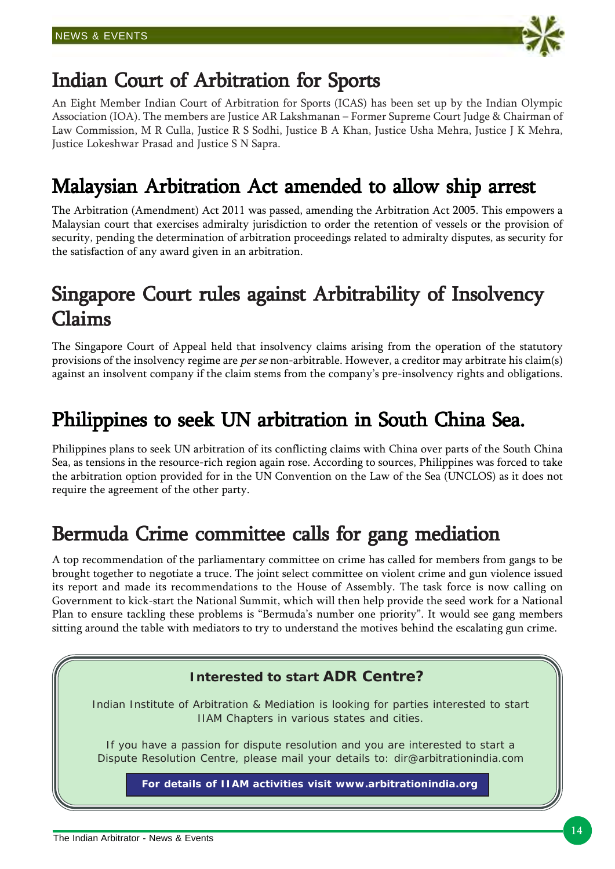

# Indian Court of Arbitration for Sports

An Eight Member Indian Court of Arbitration for Sports (ICAS) has been set up by the Indian Olympic Association (IOA). The members are Justice AR Lakshmanan – Former Supreme Court Judge & Chairman of Law Commission, M R Culla, Justice R S Sodhi, Justice B A Khan, Justice Usha Mehra, Justice J K Mehra, Justice Lokeshwar Prasad and Justice S N Sapra.

# Malaysian Arbitration Act amended to allow ship arrest

The Arbitration (Amendment) Act 2011 was passed, amending the Arbitration Act 2005. This empowers a Malaysian court that exercises admiralty jurisdiction to order the retention of vessels or the provision of security, pending the determination of arbitration proceedings related to admiralty disputes, as security for the satisfaction of any award given in an arbitration.

# Singapore Court rules against Arbitrability of Insolvency Claims

The Singapore Court of Appeal held that insolvency claims arising from the operation of the statutory provisions of the insolvency regime are per se non-arbitrable. However, a creditor may arbitrate his claim(s) against an insolvent company if the claim stems from the company's pre-insolvency rights and obligations.

# Philippines to seek UN arbitration in South China Sea.

Philippines plans to seek UN arbitration of its conflicting claims with China over parts of the South China Sea, as tensions in the resource-rich region again rose. According to sources, Philippines was forced to take the arbitration option provided for in the UN Convention on the Law of the Sea (UNCLOS) as it does not require the agreement of the other party.

# Bermuda Crime committee calls for gang mediation

A top recommendation of the parliamentary committee on crime has called for members from gangs to be brought together to negotiate a truce. The joint select committee on violent crime and gun violence issued its report and made its recommendations to the House of Assembly. The task force is now calling on Government to kick-start the National Summit, which will then help provide the seed work for a National Plan to ensure tackling these problems is "Bermuda's number one priority". It would see gang members sitting around the table with mediators to try to understand the motives behind the escalating gun crime.

## **Interested to start ADR Centre?**

Indian Institute of Arbitration & Mediation is looking for parties interested to start IIAM Chapters in various states and cities.

If you have a passion for dispute resolution and you are interested to start a Dispute Resolution Centre, please mail your details to: dir@arbitrationindia.com

**For details of IIAM activities visit www.arbitrationindia.org**